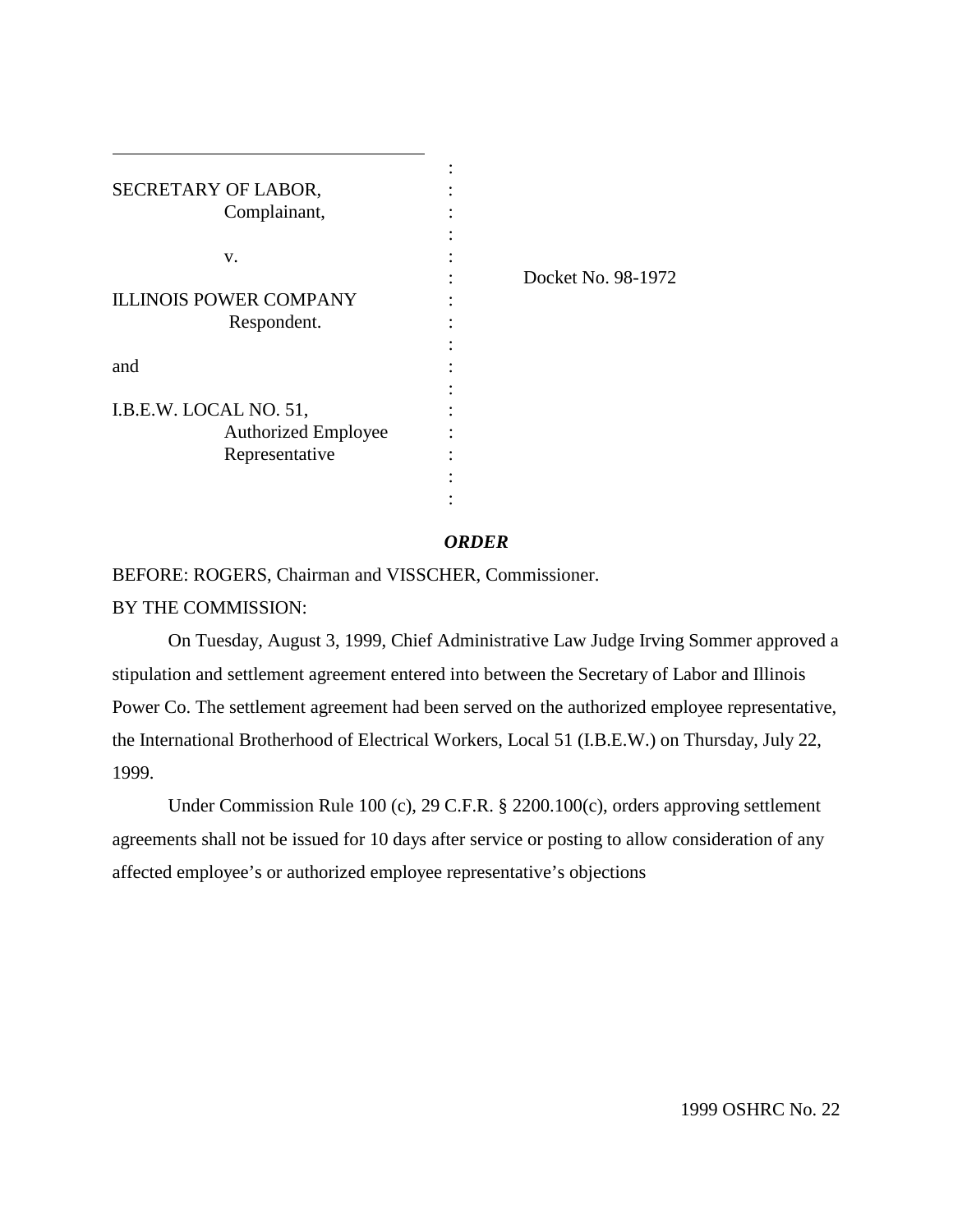| SECRETARY OF LABOR,           |                    |
|-------------------------------|--------------------|
| Complainant,                  |                    |
|                               |                    |
| v.                            |                    |
|                               | Docket No. 98-1972 |
| <b>ILLINOIS POWER COMPANY</b> |                    |
| Respondent.                   |                    |
|                               |                    |
| and                           |                    |
|                               |                    |
| I.B.E.W. LOCAL NO. 51,        |                    |
| <b>Authorized Employee</b>    |                    |
| Representative                |                    |
|                               |                    |
|                               |                    |
|                               |                    |

 $\overline{a}$ 

## *ORDER*

BEFORE: ROGERS, Chairman and VISSCHER, Commissioner. BY THE COMMISSION:

On Tuesday, August 3, 1999, Chief Administrative Law Judge Irving Sommer approved a stipulation and settlement agreement entered into between the Secretary of Labor and Illinois Power Co. The settlement agreement had been served on the authorized employee representative, the International Brotherhood of Electrical Workers, Local 51 (I.B.E.W.) on Thursday, July 22, 1999.

Under Commission Rule 100 (c), 29 C.F.R. § 2200.100(c), orders approving settlement agreements shall not be issued for 10 days after service or posting to allow consideration of any affected employee's or authorized employee representative's objections